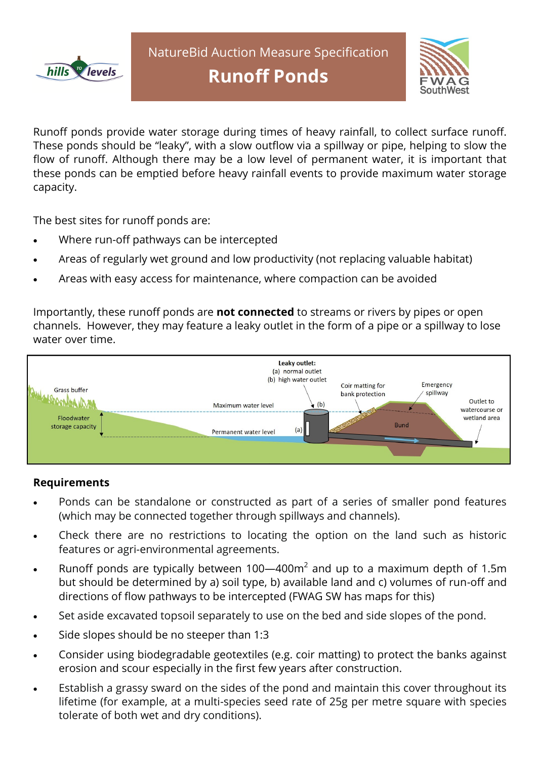



Runoff ponds provide water storage during times of heavy rainfall, to collect surface runoff. These ponds should be "leaky", with a slow outflow via a spillway or pipe, helping to slow the flow of runoff. Although there may be a low level of permanent water, it is important that these ponds can be emptied before heavy rainfall events to provide maximum water storage capacity.

The best sites for runoff ponds are:

- Where run-off pathways can be intercepted
- Areas of regularly wet ground and low productivity (not replacing valuable habitat)
- Areas with easy access for maintenance, where compaction can be avoided

Importantly, these runoff ponds are **not connected** to streams or rivers by pipes or open channels. However, they may feature a leaky outlet in the form of a pipe or a spillway to lose water over time.



## **Requirements**

- Ponds can be standalone or constructed as part of a series of smaller pond features (which may be connected together through spillways and channels).
- Check there are no restrictions to locating the option on the land such as historic features or agri-environmental agreements.
- Runoff ponds are typically between 100—400 $m^2$  and up to a maximum depth of 1.5m but should be determined by a) soil type, b) available land and c) volumes of run-off and directions of flow pathways to be intercepted (FWAG SW has maps for this)
- Set aside excavated topsoil separately to use on the bed and side slopes of the pond.
- Side slopes should be no steeper than 1:3
- Consider using biodegradable geotextiles (e.g. coir matting) to protect the banks against erosion and scour especially in the first few years after construction.
- Establish a grassy sward on the sides of the pond and maintain this cover throughout its lifetime (for example, at a multi-species seed rate of 25g per metre square with species tolerate of both wet and dry conditions).